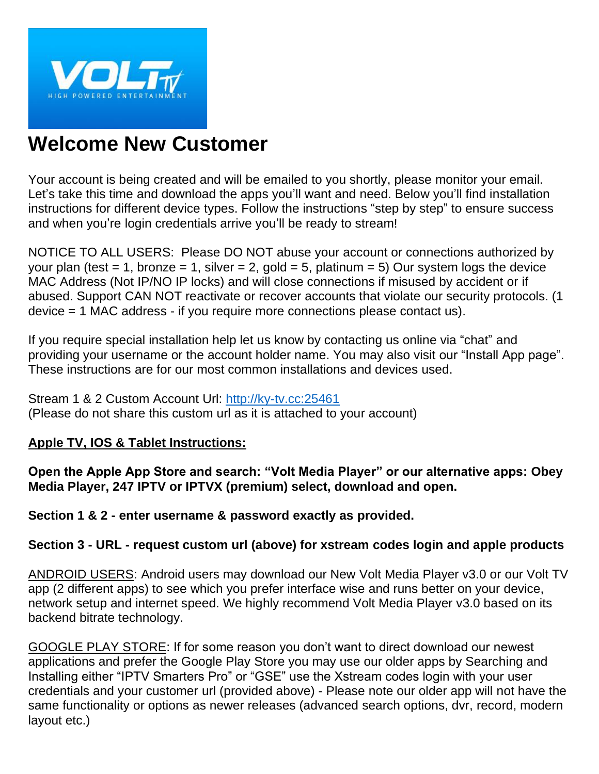

# **Welcome New Customer**

Your account is being created and will be emailed to you shortly, please monitor your email. Let's take this time and download the apps you'll want and need. Below you'll find installation instructions for different device types. Follow the instructions "step by step" to ensure success and when you're login credentials arrive you'll be ready to stream!

NOTICE TO ALL USERS: Please DO NOT abuse your account or connections authorized by your plan (test = 1, bronze = 1, silver = 2, gold = 5, platinum = 5) Our system logs the device MAC Address (Not IP/NO IP locks) and will close connections if misused by accident or if abused. Support CAN NOT reactivate or recover accounts that violate our security protocols. (1 device = 1 MAC address - if you require more connections please contact us).

If you require special installation help let us know by contacting us online via "chat" and providing your username or the account holder name. You may also visit our "Install App page". These instructions are for our most common installations and devices used.

Stream 1 & 2 Custom Account Url: [http://ky-tv.cc:25461](http://ky-tv.cc:25461/) (Please do not share this custom url as it is attached to your account)

# **Apple TV, IOS & Tablet Instructions:**

**Open the Apple App Store and search: "Volt Media Player" or our alternative apps: Obey Media Player, 247 IPTV or IPTVX (premium) select, download and open.**

**Section 1 & 2 - enter username & password exactly as provided.**

# **Section 3 - URL - request custom url (above) for xstream codes login and apple products**

ANDROID USERS: Android users may download our New Volt Media Player v3.0 or our Volt TV app (2 different apps) to see which you prefer interface wise and runs better on your device, network setup and internet speed. We highly recommend Volt Media Player v3.0 based on its backend bitrate technology.

GOOGLE PLAY STORE: If for some reason you don't want to direct download our newest applications and prefer the Google Play Store you may use our older apps by Searching and Installing either "IPTV Smarters Pro" or "GSE" use the Xstream codes login with your user credentials and your customer url (provided above) - Please note our older app will not have the same functionality or options as newer releases (advanced search options, dvr, record, modern layout etc.)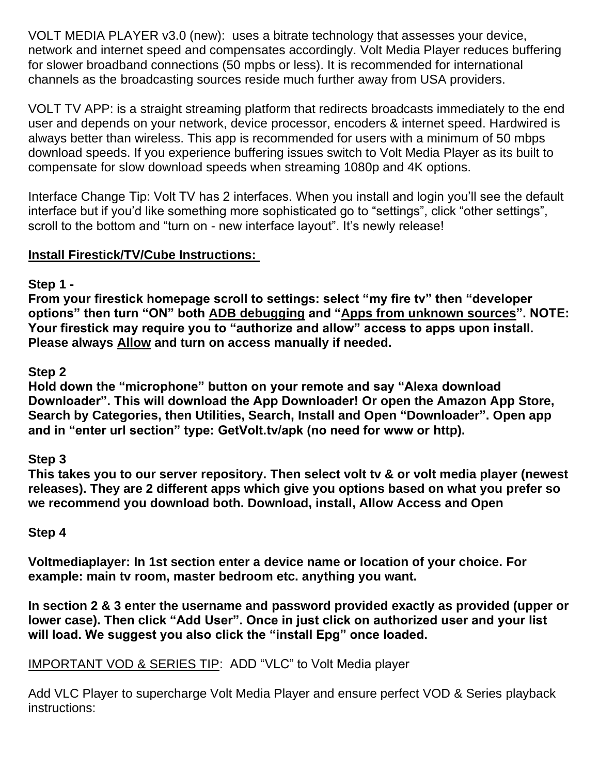VOLT MEDIA PLAYER v3.0 (new): uses a bitrate technology that assesses your device, network and internet speed and compensates accordingly. Volt Media Player reduces buffering for slower broadband connections (50 mpbs or less). It is recommended for international channels as the broadcasting sources reside much further away from USA providers.

VOLT TV APP: is a straight streaming platform that redirects broadcasts immediately to the end user and depends on your network, device processor, encoders & internet speed. Hardwired is always better than wireless. This app is recommended for users with a minimum of 50 mbps download speeds. If you experience buffering issues switch to Volt Media Player as its built to compensate for slow download speeds when streaming 1080p and 4K options.

Interface Change Tip: Volt TV has 2 interfaces. When you install and login you'll see the default interface but if you'd like something more sophisticated go to "settings", click "other settings", scroll to the bottom and "turn on - new interface layout". It's newly release!

# **Install Firestick/TV/Cube Instructions:**

## **Step 1 -**

**From your firestick homepage scroll to settings: select "my fire tv" then "developer options" then turn "ON" both ADB debugging and "Apps from unknown sources". NOTE: Your firestick may require you to "authorize and allow" access to apps upon install. Please always Allow and turn on access manually if needed.**

## **Step 2**

**Hold down the "microphone" button on your remote and say "Alexa download Downloader". This will download the App Downloader! Or open the Amazon App Store, Search by Categories, then Utilities, Search, Install and Open "Downloader". Open app and in "enter url section" type: GetVolt.tv/apk (no need for www or http).**

# **Step 3**

**This takes you to our server repository. Then select volt tv & or volt media player (newest releases). They are 2 different apps which give you options based on what you prefer so we recommend you download both. Download, install, Allow Access and Open**

## **Step 4**

**Voltmediaplayer: In 1st section enter a device name or location of your choice. For example: main tv room, master bedroom etc. anything you want.**

**In section 2 & 3 enter the username and password provided exactly as provided (upper or lower case). Then click "Add User". Once in just click on authorized user and your list will load. We suggest you also click the "install Epg" once loaded.**

# IMPORTANT VOD & SERIES TIP: ADD "VLC" to Volt Media player

Add VLC Player to supercharge Volt Media Player and ensure perfect VOD & Series playback instructions: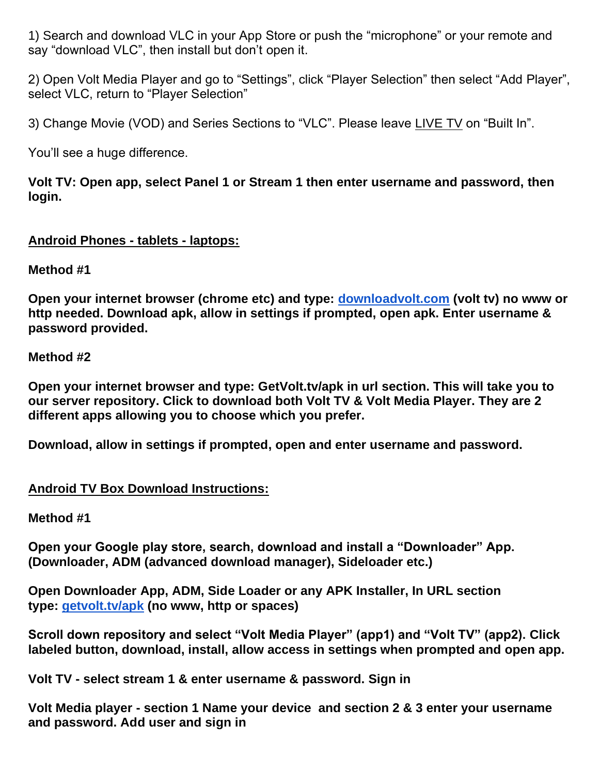1) Search and download VLC in your App Store or push the "microphone" or your remote and say "download VLC", then install but don't open it.

2) Open Volt Media Player and go to "Settings", click "Player Selection" then select "Add Player", select VLC, return to "Player Selection"

3) Change Movie (VOD) and Series Sections to "VLC". Please leave LIVE TV on "Built In".

You'll see a huge difference.

**Volt TV: Open app, select Panel 1 or Stream 1 then enter username and password, then login.**

## **Android Phones - tablets - laptops:**

**Method #1**

**Open your internet browser (chrome etc) and type: [downloadvolt.com](http://downloadvolt.com/) (volt tv) no www or http needed. Download apk, allow in settings if prompted, open apk. Enter username & password provided.**

## **Method #2**

**Open your internet browser and type: GetVolt.tv/apk in url section. This will take you to our server repository. Click to download both Volt TV & Volt Media Player. They are 2 different apps allowing you to choose which you prefer.**

**Download, allow in settings if prompted, open and enter username and password.**

## **Android TV Box Download Instructions:**

#### **Method #1**

**Open your Google play store, search, download and install a "Downloader" App. (Downloader, ADM (advanced download manager), Sideloader etc.)**

**Open Downloader App, ADM, Side Loader or any APK Installer, In URL section type: [getvolt.tv/apk](http://getvolt.tv/apk) (no www, http or spaces)**

**Scroll down repository and select "Volt Media Player" (app1) and "Volt TV" (app2). Click labeled button, download, install, allow access in settings when prompted and open app.**

**Volt TV - select stream 1 & enter username & password. Sign in**

**Volt Media player - section 1 Name your device and section 2 & 3 enter your username and password. Add user and sign in**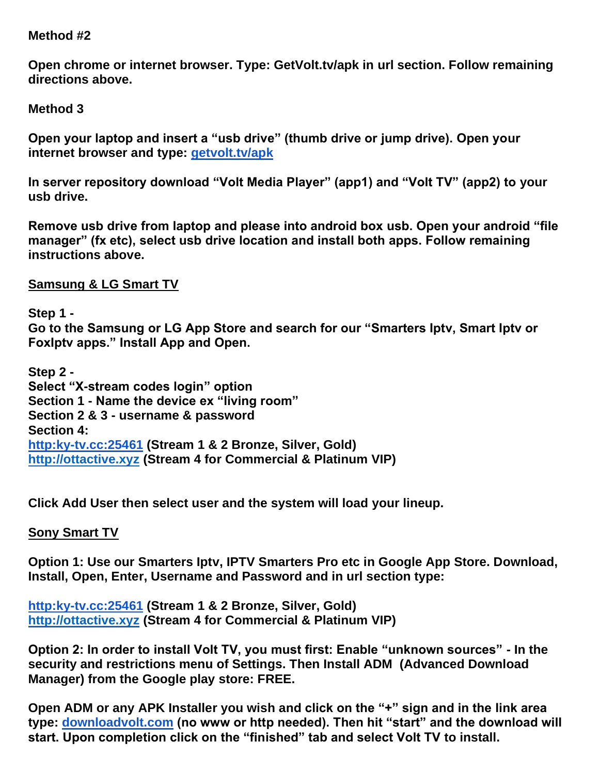#### **Method #2**

**Open chrome or internet browser. Type: GetVolt.tv/apk in url section. Follow remaining directions above.**

**Method 3**

**Open your laptop and insert a "usb drive" (thumb drive or jump drive). Open your internet browser and type: [getvolt.tv/apk](http://getvolt.tv/apk)**

**In server repository download "Volt Media Player" (app1) and "Volt TV" (app2) to your usb drive.**

**Remove usb drive from laptop and please into android box usb. Open your android "file manager" (fx etc), select usb drive location and install both apps. Follow remaining instructions above.**

**Samsung & LG Smart TV**

**Step 1 - Go to the Samsung or LG App Store and search for our "Smarters Iptv, Smart Iptv or FoxIptv apps." Install App and Open.**

**Step 2 - Select "X-stream codes login" option Section 1 - Name the device ex "living room" Section 2 & 3 - username & password Section 4: [http:ky-tv.cc:25461](http://getvolt.cc/) (Stream 1 & 2 Bronze, Silver, Gold) [http://ottactive.xyz](http://ottactive.xyz/) (Stream 4 for Commercial & Platinum VIP)**

**Click Add User then select user and the system will load your lineup.**

**Sony Smart TV**

**Option 1: Use our Smarters Iptv, IPTV Smarters Pro etc in Google App Store. Download, Install, Open, Enter, Username and Password and in url section type:**

**[http:ky-tv.cc:25461](http://getvolt.cc/) (Stream 1 & 2 Bronze, Silver, Gold) [http://ottactive.xyz](http://ottactive.xyz/) (Stream 4 for Commercial & Platinum VIP)**

**Option 2: In order to install Volt TV, you must first: Enable "unknown sources" - In the security and restrictions menu of Settings. Then Install ADM (Advanced Download Manager) from the Google play store: FREE.**

**Open ADM or any APK Installer you wish and click on the "+" sign and in the link area type: [downloadvolt.com](http://downloadvolt.com/) (no www or http needed). Then hit "start" and the download will start. Upon completion click on the "finished" tab and select Volt TV to install.**